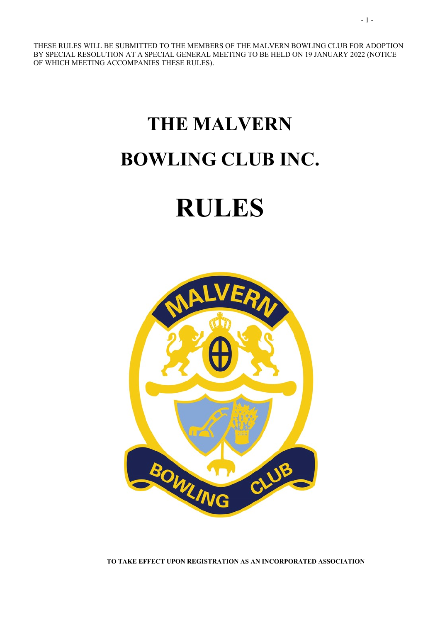THESE RULES WILL BE SUBMITTED TO THE MEMBERS OF THE MALVERN BOWLING CLUB FOR ADOPTION BY SPECIAL RESOLUTION AT A SPECIAL GENERAL MEETING TO BE HELD ON 19 JANUARY 2022 (NOTICE OF WHICH MEETING ACCOMPANIES THESE RULES).

# THE MALVERN BOWLING CLUB INC.

## RULES



TO TAKE EFFECT UPON REGISTRATION AS AN INCORPORATED ASSOCIATION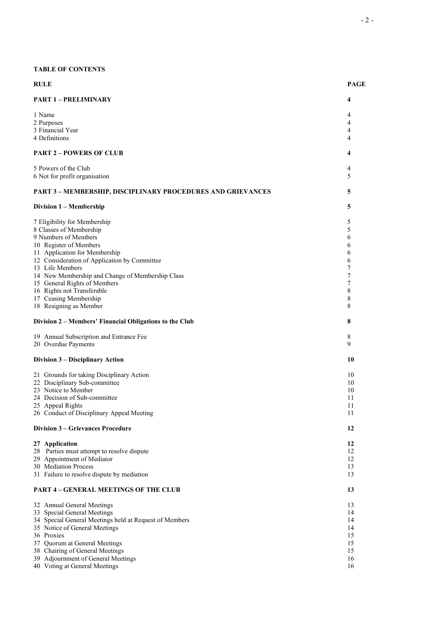#### TABLE OF CONTENTS

| <b>RULE</b>                                                        | <b>PAGE</b> |
|--------------------------------------------------------------------|-------------|
| <b>PART 1 - PRELIMINARY</b>                                        | 4           |
| 1 Name                                                             | 4           |
| 2 Purposes                                                         | 4           |
| 3 Financial Year                                                   | 4           |
| 4 Definitions                                                      | 4           |
| <b>PART 2 - POWERS OF CLUB</b>                                     | 4           |
| 5 Powers of the Club                                               | 4           |
| 6 Not for profit organisation                                      | 5           |
| <b>PART 3 - MEMBERSHIP, DISCIPLINARY PROCEDURES AND GRIEVANCES</b> | 5           |
| Division 1 – Membership                                            | 5           |
| 7 Eligibility for Membership                                       | 5           |
| 8 Classes of Membership                                            | 5           |
| 9 Numbers of Members                                               | 6           |
| 10 Register of Members                                             | 6           |
| 11 Application for Membership                                      | 6           |
| 12 Consideration of Application by Committee<br>13 Life Members    | 6<br>7      |
| 14 New Membership and Change of Membership Class                   | 7           |
| 15 General Rights of Members                                       | 7           |
| 16 Rights not Transferable                                         | 8           |
| 17 Ceasing Membership                                              | 8           |
| 18 Resigning as Member                                             | 8           |
| Division 2 - Members' Financial Obligations to the Club            | 8           |
| 19 Annual Subscription and Entrance Fee                            | 8           |
| 20 Overdue Payments                                                | 9           |
| Division 3 – Disciplinary Action                                   | 10          |
| 21 Grounds for taking Disciplinary Action                          | 10          |
| 22 Disciplinary Sub-committee                                      | 10          |
| 23 Notice to Member                                                | 10          |
| 24 Decision of Sub-committee                                       | 11          |
| 25 Appeal Rights<br>26 Conduct of Disciplinary Appeal Meeting      | 11<br>11    |
|                                                                    |             |
| <b>Division 3 – Grievances Procedure</b>                           | 12          |
| 27 Application                                                     | 12          |
| 28 Parties must attempt to resolve dispute                         | 12          |
| 29 Appointment of Mediator                                         | 12          |
| 30 Mediation Process                                               | 13          |
| 31 Failure to resolve dispute by mediation                         | 13          |
| <b>PART 4 - GENERAL MEETINGS OF THE CLUB</b>                       | 13          |
| 32 Annual General Meetings                                         | 13          |
| 33 Special General Meetings                                        | 14          |
| 34 Special General Meetings held at Request of Members             | 14          |
| 35 Notice of General Meetings                                      | 14          |
| 36 Proxies                                                         | 15          |
| 37 Quorum at General Meetings                                      | 15          |
| 38 Chairing of General Meetings                                    | 15          |
| 39 Adjournment of General Meetings                                 | 16          |
| 40 Voting at General Meetings                                      | 16          |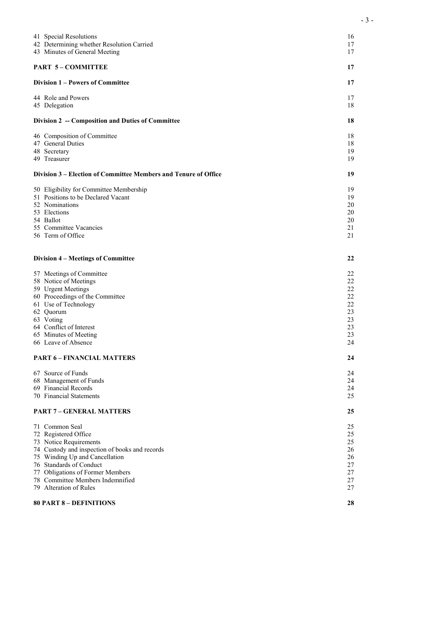|                                                                 | 41 Special Resolutions<br>42 Determining whether Resolution Carried<br>43 Minutes of General Meeting | 16<br>17<br>17 |
|-----------------------------------------------------------------|------------------------------------------------------------------------------------------------------|----------------|
|                                                                 | <b>PART 5-COMMITTEE</b>                                                                              | 17             |
|                                                                 | Division 1 – Powers of Committee                                                                     | 17             |
|                                                                 | 44 Role and Powers<br>45 Delegation                                                                  | 17<br>18       |
|                                                                 | Division 2 -- Composition and Duties of Committee                                                    | 18             |
|                                                                 | 46 Composition of Committee                                                                          | 18             |
|                                                                 | 47 General Duties                                                                                    | 18             |
|                                                                 | 48 Secretary                                                                                         | 19<br>19       |
|                                                                 | 49 Treasurer                                                                                         |                |
| Division 3 – Election of Committee Members and Tenure of Office |                                                                                                      | 19             |
|                                                                 | 50 Eligibility for Committee Membership                                                              | 19             |
|                                                                 | 51 Positions to be Declared Vacant                                                                   | 19             |
|                                                                 | 52 Nominations                                                                                       | 20             |
|                                                                 | 53 Elections                                                                                         | 20             |
|                                                                 | 54 Ballot                                                                                            | 20             |
|                                                                 | 55 Committee Vacancies                                                                               | 21             |
|                                                                 | 56 Term of Office                                                                                    | 21             |
|                                                                 | Division 4 - Meetings of Committee                                                                   | 22             |
|                                                                 | 57 Meetings of Committee                                                                             | 22             |
|                                                                 | 58 Notice of Meetings                                                                                | 22             |
|                                                                 | 59 Urgent Meetings                                                                                   | 22             |
|                                                                 | 60 Proceedings of the Committee                                                                      | 22             |
|                                                                 | 61 Use of Technology                                                                                 | 22             |
|                                                                 | 62 Quorum                                                                                            | 23             |
|                                                                 | 63 Voting                                                                                            | 23             |
|                                                                 | 64 Conflict of Interest                                                                              | 23             |
|                                                                 | 65 Minutes of Meeting                                                                                | 23             |
|                                                                 | 66 Leave of Absence                                                                                  | 24             |
|                                                                 | <b>PART 6 – FINANCIAL MATTERS</b>                                                                    | 24             |
|                                                                 | 67 Source of Funds                                                                                   | 24             |
|                                                                 | 68 Management of Funds                                                                               | 24             |
|                                                                 | 69 Financial Records                                                                                 | 24             |
|                                                                 | 70 Financial Statements                                                                              | 25             |
|                                                                 | <b>PART 7 - GENERAL MATTERS</b>                                                                      |                |
|                                                                 | 71 Common Seal                                                                                       | 25             |
|                                                                 | 72 Registered Office                                                                                 | 25             |
|                                                                 | 73 Notice Requirements                                                                               | 25             |
|                                                                 | 74 Custody and inspection of books and records                                                       | 26             |
|                                                                 | 75 Winding Up and Cancellation                                                                       | 26             |
|                                                                 | 76 Standards of Conduct                                                                              | 27             |
|                                                                 | 77 Obligations of Former Members                                                                     | 27             |
|                                                                 | 78 Committee Members Indemnified                                                                     | 27             |
|                                                                 | 79 Alteration of Rules                                                                               | 27             |
|                                                                 | <b>80 PART 8 – DEFINITIONS</b>                                                                       | 28             |

- 3 -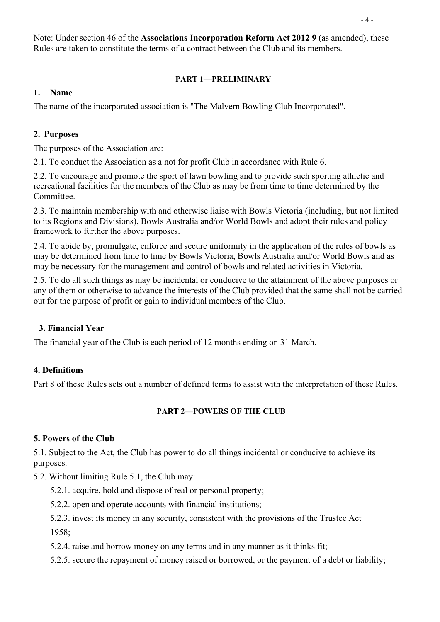Note: Under section 46 of the Associations Incorporation Reform Act 2012 9 (as amended), these Rules are taken to constitute the terms of a contract between the Club and its members.

#### PART 1—PRELIMINARY

#### 1. Name

The name of the incorporated association is "The Malvern Bowling Club Incorporated".

#### 2. Purposes

The purposes of the Association are:

2.1. To conduct the Association as a not for profit Club in accordance with Rule 6.

2.2. To encourage and promote the sport of lawn bowling and to provide such sporting athletic and recreational facilities for the members of the Club as may be from time to time determined by the Committee.

2.3. To maintain membership with and otherwise liaise with Bowls Victoria (including, but not limited to its Regions and Divisions), Bowls Australia and/or World Bowls and adopt their rules and policy framework to further the above purposes.

2.4. To abide by, promulgate, enforce and secure uniformity in the application of the rules of bowls as may be determined from time to time by Bowls Victoria, Bowls Australia and/or World Bowls and as may be necessary for the management and control of bowls and related activities in Victoria.

2.5. To do all such things as may be incidental or conducive to the attainment of the above purposes or any of them or otherwise to advance the interests of the Club provided that the same shall not be carried out for the purpose of profit or gain to individual members of the Club.

#### 3. Financial Year

The financial year of the Club is each period of 12 months ending on 31 March.

#### 4. Definitions

Part 8 of these Rules sets out a number of defined terms to assist with the interpretation of these Rules.

#### PART 2-POWERS OF THE CLUB

#### 5. Powers of the Club

5.1. Subject to the Act, the Club has power to do all things incidental or conducive to achieve its purposes.

5.2. Without limiting Rule 5.1, the Club may:

- 5.2.1. acquire, hold and dispose of real or personal property;
- 5.2.2. open and operate accounts with financial institutions;
- 5.2.3. invest its money in any security, consistent with the provisions of the Trustee Act 1958;
- 5.2.4. raise and borrow money on any terms and in any manner as it thinks fit;
- 5.2.5. secure the repayment of money raised or borrowed, or the payment of a debt or liability;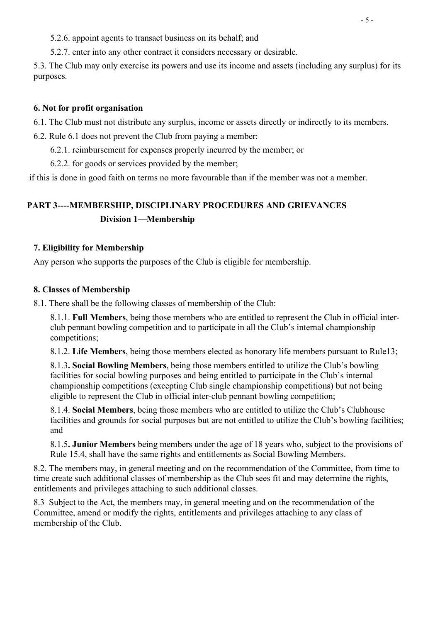5.2.6. appoint agents to transact business on its behalf; and

5.2.7. enter into any other contract it considers necessary or desirable.

5.3. The Club may only exercise its powers and use its income and assets (including any surplus) for its purposes.

#### 6. Not for profit organisation

6.1. The Club must not distribute any surplus, income or assets directly or indirectly to its members.

6.2. Rule 6.1 does not prevent the Club from paying a member:

6.2.1. reimbursement for expenses properly incurred by the member; or

6.2.2. for goods or services provided by the member;

if this is done in good faith on terms no more favourable than if the member was not a member.

## PART 3----MEMBERSHIP, DISCIPLINARY PROCEDURES AND GRIEVANCES Division 1—Membership

#### 7. Eligibility for Membership

Any person who supports the purposes of the Club is eligible for membership.

#### 8. Classes of Membership

8.1. There shall be the following classes of membership of the Club:

8.1.1. Full Members, being those members who are entitled to represent the Club in official interclub pennant bowling competition and to participate in all the Club's internal championship competitions;

8.1.2. Life Members, being those members elected as honorary life members pursuant to Rule13;

8.1.3. Social Bowling Members, being those members entitled to utilize the Club's bowling facilities for social bowling purposes and being entitled to participate in the Club's internal championship competitions (excepting Club single championship competitions) but not being eligible to represent the Club in official inter-club pennant bowling competition;

8.1.4. Social Members, being those members who are entitled to utilize the Club's Clubhouse facilities and grounds for social purposes but are not entitled to utilize the Club's bowling facilities; and

8.1.5. Junior Members being members under the age of 18 years who, subject to the provisions of Rule 15.4, shall have the same rights and entitlements as Social Bowling Members.

8.2. The members may, in general meeting and on the recommendation of the Committee, from time to time create such additional classes of membership as the Club sees fit and may determine the rights, entitlements and privileges attaching to such additional classes.

8.3 Subject to the Act, the members may, in general meeting and on the recommendation of the Committee, amend or modify the rights, entitlements and privileges attaching to any class of membership of the Club.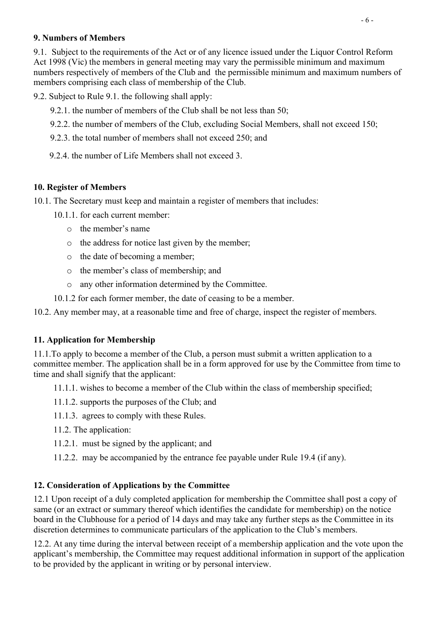## 9. Numbers of Members

9.1. Subject to the requirements of the Act or of any licence issued under the Liquor Control Reform Act 1998 (Vic) the members in general meeting may vary the permissible minimum and maximum numbers respectively of members of the Club and the permissible minimum and maximum numbers of members comprising each class of membership of the Club.

9.2. Subject to Rule 9.1. the following shall apply:

- 9.2.1. the number of members of the Club shall be not less than 50;
- 9.2.2. the number of members of the Club, excluding Social Members, shall not exceed 150;
- 9.2.3. the total number of members shall not exceed 250; and
- 9.2.4. the number of Life Members shall not exceed 3.

## 10. Register of Members

- 10.1. The Secretary must keep and maintain a register of members that includes:
	- 10.1.1. for each current member:
		- o the member's name
		- o the address for notice last given by the member;
		- o the date of becoming a member;
		- o the member's class of membership; and
		- o any other information determined by the Committee.
	- 10.1.2 for each former member, the date of ceasing to be a member.
- 10.2. Any member may, at a reasonable time and free of charge, inspect the register of members.

## 11. Application for Membership

11.1.To apply to become a member of the Club, a person must submit a written application to a committee member. The application shall be in a form approved for use by the Committee from time to time and shall signify that the applicant:

11.1.1. wishes to become a member of the Club within the class of membership specified;

- 11.1.2. supports the purposes of the Club; and
- 11.1.3. agrees to comply with these Rules.
- 11.2. The application:
- 11.2.1. must be signed by the applicant; and
- 11.2.2. may be accompanied by the entrance fee payable under Rule 19.4 (if any).

## 12. Consideration of Applications by the Committee

12.1 Upon receipt of a duly completed application for membership the Committee shall post a copy of same (or an extract or summary thereof which identifies the candidate for membership) on the notice board in the Clubhouse for a period of 14 days and may take any further steps as the Committee in its discretion determines to communicate particulars of the application to the Club's members.

12.2. At any time during the interval between receipt of a membership application and the vote upon the applicant's membership, the Committee may request additional information in support of the application to be provided by the applicant in writing or by personal interview.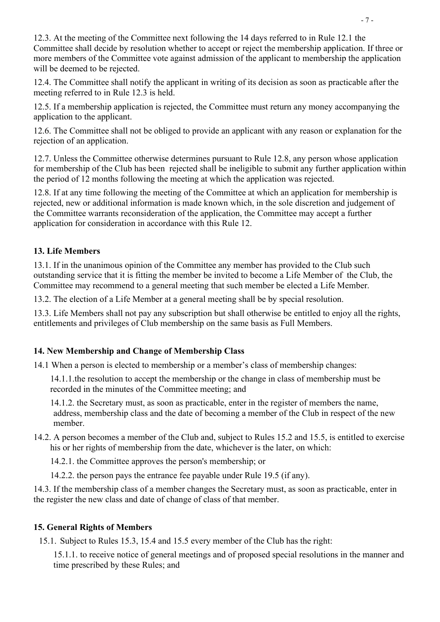12.3. At the meeting of the Committee next following the 14 days referred to in Rule 12.1 the Committee shall decide by resolution whether to accept or reject the membership application. If three or more members of the Committee vote against admission of the applicant to membership the application will be deemed to be rejected.

12.4. The Committee shall notify the applicant in writing of its decision as soon as practicable after the meeting referred to in Rule 12.3 is held.

12.5. If a membership application is rejected, the Committee must return any money accompanying the application to the applicant.

12.6. The Committee shall not be obliged to provide an applicant with any reason or explanation for the rejection of an application.

12.7. Unless the Committee otherwise determines pursuant to Rule 12.8, any person whose application for membership of the Club has been rejected shall be ineligible to submit any further application within the period of 12 months following the meeting at which the application was rejected.

12.8. If at any time following the meeting of the Committee at which an application for membership is rejected, new or additional information is made known which, in the sole discretion and judgement of the Committee warrants reconsideration of the application, the Committee may accept a further application for consideration in accordance with this Rule 12.

## 13. Life Members

13.1. If in the unanimous opinion of the Committee any member has provided to the Club such outstanding service that it is fitting the member be invited to become a Life Member of the Club, the Committee may recommend to a general meeting that such member be elected a Life Member.

13.2. The election of a Life Member at a general meeting shall be by special resolution.

13.3. Life Members shall not pay any subscription but shall otherwise be entitled to enjoy all the rights, entitlements and privileges of Club membership on the same basis as Full Members.

#### 14. New Membership and Change of Membership Class

14.1 When a person is elected to membership or a member's class of membership changes:

14.1.1.the resolution to accept the membership or the change in class of membership must be recorded in the minutes of the Committee meeting; and

14.1.2. the Secretary must, as soon as practicable, enter in the register of members the name, address, membership class and the date of becoming a member of the Club in respect of the new member.

14.2. A person becomes a member of the Club and, subject to Rules 15.2 and 15.5, is entitled to exercise his or her rights of membership from the date, whichever is the later, on which:

14.2.1. the Committee approves the person's membership; or

14.2.2. the person pays the entrance fee payable under Rule 19.5 (if any).

14.3. If the membership class of a member changes the Secretary must, as soon as practicable, enter in the register the new class and date of change of class of that member.

#### 15. General Rights of Members

15.1. Subject to Rules 15.3, 15.4 and 15.5 every member of the Club has the right:

15.1.1. to receive notice of general meetings and of proposed special resolutions in the manner and time prescribed by these Rules; and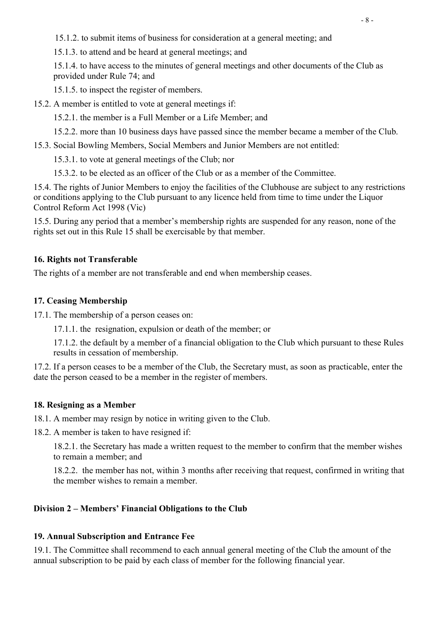15.1.2. to submit items of business for consideration at a general meeting; and

15.1.3. to attend and be heard at general meetings; and

15.1.4. to have access to the minutes of general meetings and other documents of the Club as provided under Rule 74; and

15.1.5. to inspect the register of members.

15.2. A member is entitled to vote at general meetings if:

15.2.1. the member is a Full Member or a Life Member; and

15.2.2. more than 10 business days have passed since the member became a member of the Club.

15.3. Social Bowling Members, Social Members and Junior Members are not entitled:

15.3.1. to vote at general meetings of the Club; nor

15.3.2. to be elected as an officer of the Club or as a member of the Committee.

15.4. The rights of Junior Members to enjoy the facilities of the Clubhouse are subject to any restrictions or conditions applying to the Club pursuant to any licence held from time to time under the Liquor Control Reform Act 1998 (Vic)

15.5. During any period that a member's membership rights are suspended for any reason, none of the rights set out in this Rule 15 shall be exercisable by that member.

## 16. Rights not Transferable

The rights of a member are not transferable and end when membership ceases.

## 17. Ceasing Membership

17.1. The membership of a person ceases on:

17.1.1. the resignation, expulsion or death of the member; or

17.1.2. the default by a member of a financial obligation to the Club which pursuant to these Rules results in cessation of membership.

17.2. If a person ceases to be a member of the Club, the Secretary must, as soon as practicable, enter the date the person ceased to be a member in the register of members.

## 18. Resigning as a Member

18.1. A member may resign by notice in writing given to the Club.

18.2. A member is taken to have resigned if:

18.2.1. the Secretary has made a written request to the member to confirm that the member wishes to remain a member; and

18.2.2. the member has not, within 3 months after receiving that request, confirmed in writing that the member wishes to remain a member.

## Division 2 – Members' Financial Obligations to the Club

## 19. Annual Subscription and Entrance Fee

19.1. The Committee shall recommend to each annual general meeting of the Club the amount of the annual subscription to be paid by each class of member for the following financial year.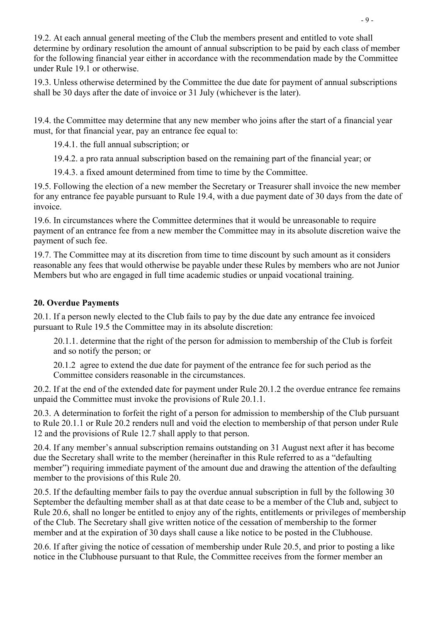19.2. At each annual general meeting of the Club the members present and entitled to vote shall determine by ordinary resolution the amount of annual subscription to be paid by each class of member for the following financial year either in accordance with the recommendation made by the Committee under Rule 19.1 or otherwise.

19.3. Unless otherwise determined by the Committee the due date for payment of annual subscriptions shall be 30 days after the date of invoice or 31 July (whichever is the later).

19.4. the Committee may determine that any new member who joins after the start of a financial year must, for that financial year, pay an entrance fee equal to:

19.4.1. the full annual subscription; or

19.4.2. a pro rata annual subscription based on the remaining part of the financial year; or

19.4.3. a fixed amount determined from time to time by the Committee.

19.5. Following the election of a new member the Secretary or Treasurer shall invoice the new member for any entrance fee payable pursuant to Rule 19.4, with a due payment date of 30 days from the date of invoice.

19.6. In circumstances where the Committee determines that it would be unreasonable to require payment of an entrance fee from a new member the Committee may in its absolute discretion waive the payment of such fee.

19.7. The Committee may at its discretion from time to time discount by such amount as it considers reasonable any fees that would otherwise be payable under these Rules by members who are not Junior Members but who are engaged in full time academic studies or unpaid vocational training.

## 20. Overdue Payments

20.1. If a person newly elected to the Club fails to pay by the due date any entrance fee invoiced pursuant to Rule 19.5 the Committee may in its absolute discretion:

20.1.1. determine that the right of the person for admission to membership of the Club is forfeit and so notify the person; or

20.1.2 agree to extend the due date for payment of the entrance fee for such period as the Committee considers reasonable in the circumstances.

20.2. If at the end of the extended date for payment under Rule 20.1.2 the overdue entrance fee remains unpaid the Committee must invoke the provisions of Rule 20.1.1.

20.3. A determination to forfeit the right of a person for admission to membership of the Club pursuant to Rule 20.1.1 or Rule 20.2 renders null and void the election to membership of that person under Rule 12 and the provisions of Rule 12.7 shall apply to that person.

20.4. If any member's annual subscription remains outstanding on 31 August next after it has become due the Secretary shall write to the member (hereinafter in this Rule referred to as a "defaulting member") requiring immediate payment of the amount due and drawing the attention of the defaulting member to the provisions of this Rule 20.

20.5. If the defaulting member fails to pay the overdue annual subscription in full by the following 30 September the defaulting member shall as at that date cease to be a member of the Club and, subject to Rule 20.6, shall no longer be entitled to enjoy any of the rights, entitlements or privileges of membership of the Club. The Secretary shall give written notice of the cessation of membership to the former member and at the expiration of 30 days shall cause a like notice to be posted in the Clubhouse.

20.6. If after giving the notice of cessation of membership under Rule 20.5, and prior to posting a like notice in the Clubhouse pursuant to that Rule, the Committee receives from the former member an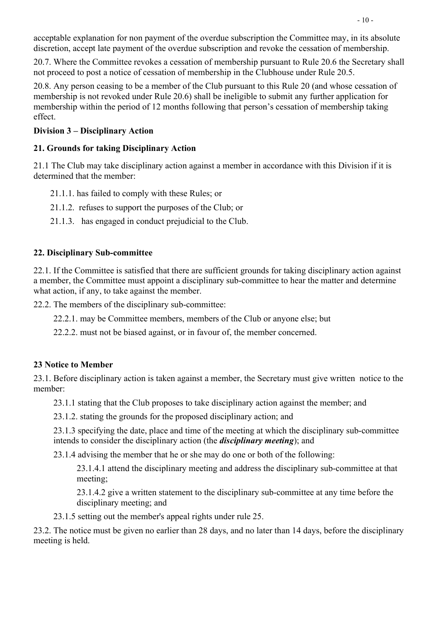acceptable explanation for non payment of the overdue subscription the Committee may, in its absolute discretion, accept late payment of the overdue subscription and revoke the cessation of membership.

20.7. Where the Committee revokes a cessation of membership pursuant to Rule 20.6 the Secretary shall not proceed to post a notice of cessation of membership in the Clubhouse under Rule 20.5.

20.8. Any person ceasing to be a member of the Club pursuant to this Rule 20 (and whose cessation of membership is not revoked under Rule 20.6) shall be ineligible to submit any further application for membership within the period of 12 months following that person's cessation of membership taking effect.

## Division 3 – Disciplinary Action

## 21. Grounds for taking Disciplinary Action

21.1 The Club may take disciplinary action against a member in accordance with this Division if it is determined that the member:

- 21.1.1. has failed to comply with these Rules; or
- 21.1.2. refuses to support the purposes of the Club; or
- 21.1.3. has engaged in conduct prejudicial to the Club.

## 22. Disciplinary Sub-committee

22.1. If the Committee is satisfied that there are sufficient grounds for taking disciplinary action against a member, the Committee must appoint a disciplinary sub-committee to hear the matter and determine what action, if any, to take against the member.

22.2. The members of the disciplinary sub-committee:

22.2.1. may be Committee members, members of the Club or anyone else; but

22.2.2. must not be biased against, or in favour of, the member concerned.

## 23 Notice to Member

23.1. Before disciplinary action is taken against a member, the Secretary must give written notice to the member:

23.1.1 stating that the Club proposes to take disciplinary action against the member; and

23.1.2. stating the grounds for the proposed disciplinary action; and

23.1.3 specifying the date, place and time of the meeting at which the disciplinary sub-committee intends to consider the disciplinary action (the disciplinary meeting); and

23.1.4 advising the member that he or she may do one or both of the following:

23.1.4.1 attend the disciplinary meeting and address the disciplinary sub-committee at that meeting;

23.1.4.2 give a written statement to the disciplinary sub-committee at any time before the disciplinary meeting; and

23.1.5 setting out the member's appeal rights under rule 25.

23.2. The notice must be given no earlier than 28 days, and no later than 14 days, before the disciplinary meeting is held.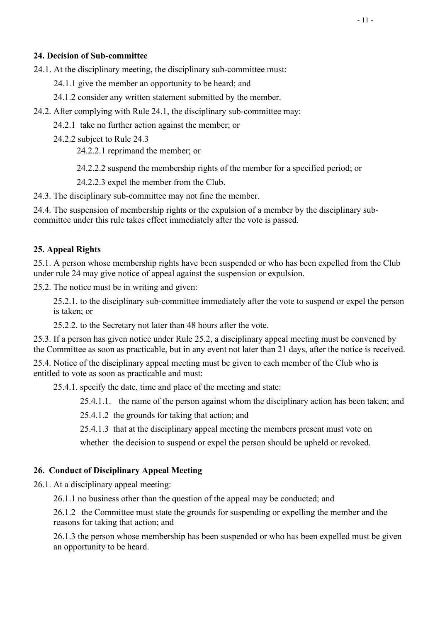#### 24. Decision of Sub-committee

24.1. At the disciplinary meeting, the disciplinary sub-committee must:

24.1.1 give the member an opportunity to be heard; and

24.1.2 consider any written statement submitted by the member.

24.2. After complying with Rule 24.1, the disciplinary sub-committee may:

24.2.1 take no further action against the member; or

24.2.2 subject to Rule 24.3

24.2.2.1 reprimand the member; or

24.2.2.2 suspend the membership rights of the member for a specified period; or

24.2.2.3 expel the member from the Club.

24.3. The disciplinary sub-committee may not fine the member.

24.4. The suspension of membership rights or the expulsion of a member by the disciplinary subcommittee under this rule takes effect immediately after the vote is passed.

#### 25. Appeal Rights

25.1. A person whose membership rights have been suspended or who has been expelled from the Club under rule 24 may give notice of appeal against the suspension or expulsion.

25.2. The notice must be in writing and given:

25.2.1. to the disciplinary sub-committee immediately after the vote to suspend or expel the person is taken; or

25.2.2. to the Secretary not later than 48 hours after the vote.

25.3. If a person has given notice under Rule 25.2, a disciplinary appeal meeting must be convened by the Committee as soon as practicable, but in any event not later than 21 days, after the notice is received.

25.4. Notice of the disciplinary appeal meeting must be given to each member of the Club who is entitled to vote as soon as practicable and must:

25.4.1. specify the date, time and place of the meeting and state:

25.4.1.1. the name of the person against whom the disciplinary action has been taken; and

25.4.1.2 the grounds for taking that action; and

25.4.1.3 that at the disciplinary appeal meeting the members present must vote on

whether the decision to suspend or expel the person should be upheld or revoked.

#### 26. Conduct of Disciplinary Appeal Meeting

26.1. At a disciplinary appeal meeting:

26.1.1 no business other than the question of the appeal may be conducted; and

26.1.2 the Committee must state the grounds for suspending or expelling the member and the reasons for taking that action; and

26.1.3 the person whose membership has been suspended or who has been expelled must be given an opportunity to be heard.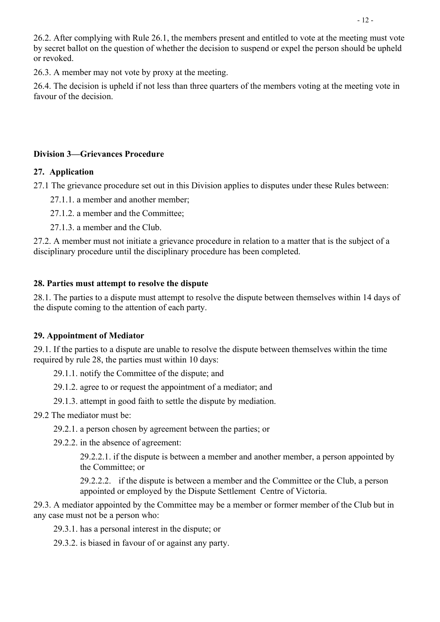26.2. After complying with Rule 26.1, the members present and entitled to vote at the meeting must vote by secret ballot on the question of whether the decision to suspend or expel the person should be upheld or revoked.

26.3. A member may not vote by proxy at the meeting.

26.4. The decision is upheld if not less than three quarters of the members voting at the meeting vote in favour of the decision.

#### Division 3—Grievances Procedure

#### 27. Application

27.1 The grievance procedure set out in this Division applies to disputes under these Rules between:

- 27.1.1. a member and another member;
- 27.1.2. a member and the Committee;
- 27.1.3. a member and the Club.

27.2. A member must not initiate a grievance procedure in relation to a matter that is the subject of a disciplinary procedure until the disciplinary procedure has been completed.

#### 28. Parties must attempt to resolve the dispute

28.1. The parties to a dispute must attempt to resolve the dispute between themselves within 14 days of the dispute coming to the attention of each party.

#### 29. Appointment of Mediator

29.1. If the parties to a dispute are unable to resolve the dispute between themselves within the time required by rule 28, the parties must within 10 days:

29.1.1. notify the Committee of the dispute; and

- 29.1.2. agree to or request the appointment of a mediator; and
- 29.1.3. attempt in good faith to settle the dispute by mediation.

#### 29.2 The mediator must be:

- 29.2.1. a person chosen by agreement between the parties; or
- 29.2.2. in the absence of agreement:

29.2.2.1. if the dispute is between a member and another member, a person appointed by the Committee; or

29.2.2.2. if the dispute is between a member and the Committee or the Club, a person appointed or employed by the Dispute Settlement Centre of Victoria.

29.3. A mediator appointed by the Committee may be a member or former member of the Club but in any case must not be a person who:

29.3.1. has a personal interest in the dispute; or

29.3.2. is biased in favour of or against any party.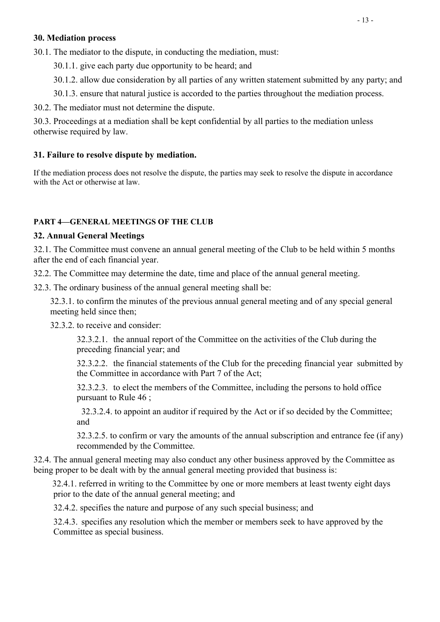#### 30. Mediation process

30.1. The mediator to the dispute, in conducting the mediation, must:

30.1.1. give each party due opportunity to be heard; and

30.1.2. allow due consideration by all parties of any written statement submitted by any party; and

30.1.3. ensure that natural justice is accorded to the parties throughout the mediation process.

30.2. The mediator must not determine the dispute.

30.3. Proceedings at a mediation shall be kept confidential by all parties to the mediation unless otherwise required by law.

#### 31. Failure to resolve dispute by mediation.

If the mediation process does not resolve the dispute, the parties may seek to resolve the dispute in accordance with the Act or otherwise at law.

## PART 4—GENERAL MEETINGS OF THE CLUB

## 32. Annual General Meetings

32.1. The Committee must convene an annual general meeting of the Club to be held within 5 months after the end of each financial year.

32.2. The Committee may determine the date, time and place of the annual general meeting.

32.3. The ordinary business of the annual general meeting shall be:

32.3.1. to confirm the minutes of the previous annual general meeting and of any special general meeting held since then;

32.3.2. to receive and consider:

32.3.2.1. the annual report of the Committee on the activities of the Club during the preceding financial year; and

32.3.2.2. the financial statements of the Club for the preceding financial year submitted by the Committee in accordance with Part 7 of the Act;

32.3.2.3. to elect the members of the Committee, including the persons to hold office pursuant to Rule 46 ;

 32.3.2.4. to appoint an auditor if required by the Act or if so decided by the Committee; and

32.3.2.5. to confirm or vary the amounts of the annual subscription and entrance fee (if any) recommended by the Committee.

32.4. The annual general meeting may also conduct any other business approved by the Committee as being proper to be dealt with by the annual general meeting provided that business is:

 32.4.1. referred in writing to the Committee by one or more members at least twenty eight days prior to the date of the annual general meeting; and

32.4.2. specifies the nature and purpose of any such special business; and

32.4.3. specifies any resolution which the member or members seek to have approved by the Committee as special business.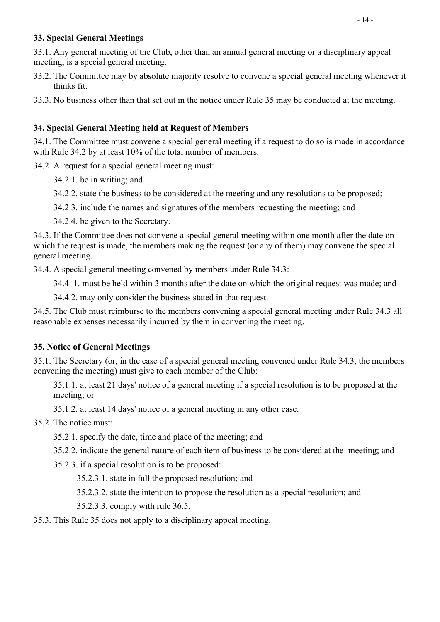#### 33. Special General Meetings

33.1. Any general meeting of the Club, other than an annual general meeting or a disciplinary appeal meeting, is a special general meeting.

33.2. The Committee may by absolute majority resolve to convene a special general meeting whenever it thinks fit.

33.3. No business other than that set out in the notice under Rule 35 may be conducted at the meeting.

## 34. Special General Meeting held at Request of Members

34.1. The Committee must convene a special general meeting if a request to do so is made in accordance with Rule 34.2 by at least 10% of the total number of members.

34.2. A request for a special general meeting must:

34.2.1. be in writing; and

34.2.2. state the business to be considered at the meeting and any resolutions to be proposed;

34.2.3. include the names and signatures of the members requesting the meeting; and

34.2.4. be given to the Secretary.

34.3. If the Committee does not convene a special general meeting within one month after the date on which the request is made, the members making the request (or any of them) may convene the special general meeting.

34.4. A special general meeting convened by members under Rule 34.3:

34.4. 1. must be held within 3 months after the date on which the original request was made; and

34.4.2. may only consider the business stated in that request.

 34.5. The Club must reimburse to the members convening a special general meeting under Rule 34.3 all reasonable expenses necessarily incurred by them in convening the meeting.

## 35. Notice of General Meetings

35.1. The Secretary (or, in the case of a special general meeting convened under Rule 34.3, the members convening the meeting) must give to each member of the Club:

35.1.1. at least 21 days' notice of a general meeting if a special resolution is to be proposed at the meeting; or

35.1.2. at least 14 days' notice of a general meeting in any other case.

## 35.2. The notice must:

35.2.1. specify the date, time and place of the meeting; and

35.2.2. indicate the general nature of each item of business to be considered at the meeting; and

35.2.3. if a special resolution is to be proposed:

35.2.3.1. state in full the proposed resolution; and

35.2.3.2. state the intention to propose the resolution as a special resolution; and

35.2.3.3. comply with rule 36.5.

35.3. This Rule 35 does not apply to a disciplinary appeal meeting.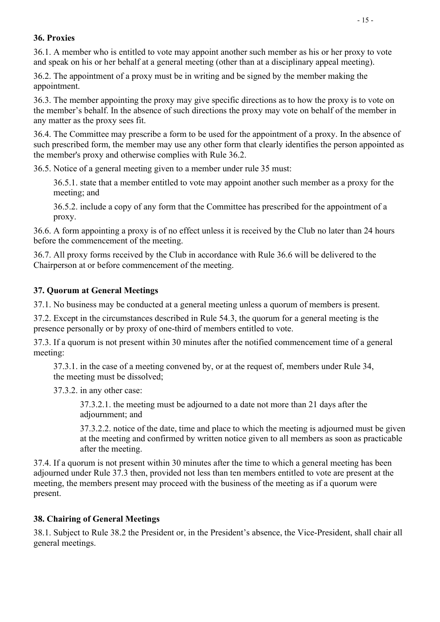## 36. Proxies

36.1. A member who is entitled to vote may appoint another such member as his or her proxy to vote and speak on his or her behalf at a general meeting (other than at a disciplinary appeal meeting).

36.2. The appointment of a proxy must be in writing and be signed by the member making the appointment.

36.3. The member appointing the proxy may give specific directions as to how the proxy is to vote on the member's behalf. In the absence of such directions the proxy may vote on behalf of the member in any matter as the proxy sees fit.

36.4. The Committee may prescribe a form to be used for the appointment of a proxy. In the absence of such prescribed form, the member may use any other form that clearly identifies the person appointed as the member's proxy and otherwise complies with Rule 36.2.

36.5. Notice of a general meeting given to a member under rule 35 must:

36.5.1. state that a member entitled to vote may appoint another such member as a proxy for the meeting; and

36.5.2. include a copy of any form that the Committee has prescribed for the appointment of a proxy.

36.6. A form appointing a proxy is of no effect unless it is received by the Club no later than 24 hours before the commencement of the meeting.

36.7. All proxy forms received by the Club in accordance with Rule 36.6 will be delivered to the Chairperson at or before commencement of the meeting.

#### 37. Quorum at General Meetings

37.1. No business may be conducted at a general meeting unless a quorum of members is present.

37.2. Except in the circumstances described in Rule 54.3, the quorum for a general meeting is the presence personally or by proxy of one-third of members entitled to vote.

37.3. If a quorum is not present within 30 minutes after the notified commencement time of a general meeting:

37.3.1. in the case of a meeting convened by, or at the request of, members under Rule 34, the meeting must be dissolved;

37.3.2. in any other case:

37.3.2.1. the meeting must be adjourned to a date not more than 21 days after the adjournment; and

37.3.2.2. notice of the date, time and place to which the meeting is adjourned must be given at the meeting and confirmed by written notice given to all members as soon as practicable after the meeting.

37.4. If a quorum is not present within 30 minutes after the time to which a general meeting has been adjourned under Rule 37.3 then, provided not less than ten members entitled to vote are present at the meeting, the members present may proceed with the business of the meeting as if a quorum were present.

#### 38. Chairing of General Meetings

38.1. Subject to Rule 38.2 the President or, in the President's absence, the Vice-President, shall chair all general meetings.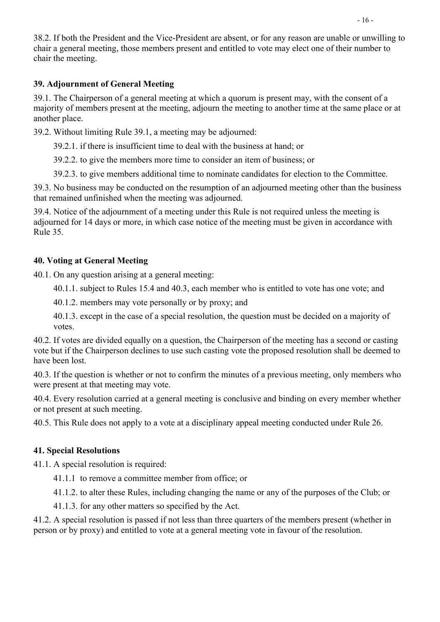## 39. Adjournment of General Meeting

39.1. The Chairperson of a general meeting at which a quorum is present may, with the consent of a majority of members present at the meeting, adjourn the meeting to another time at the same place or at another place.

39.2. Without limiting Rule 39.1, a meeting may be adjourned:

39.2.1. if there is insufficient time to deal with the business at hand; or

39.2.2. to give the members more time to consider an item of business; or

39.2.3. to give members additional time to nominate candidates for election to the Committee.

39.3. No business may be conducted on the resumption of an adjourned meeting other than the business that remained unfinished when the meeting was adjourned.

39.4. Notice of the adjournment of a meeting under this Rule is not required unless the meeting is adjourned for 14 days or more, in which case notice of the meeting must be given in accordance with Rule 35.

## 40. Voting at General Meeting

40.1. On any question arising at a general meeting:

40.1.1. subject to Rules 15.4 and 40.3, each member who is entitled to vote has one vote; and

40.1.2. members may vote personally or by proxy; and

40.1.3. except in the case of a special resolution, the question must be decided on a majority of votes.

40.2. If votes are divided equally on a question, the Chairperson of the meeting has a second or casting vote but if the Chairperson declines to use such casting vote the proposed resolution shall be deemed to have been lost.

40.3. If the question is whether or not to confirm the minutes of a previous meeting, only members who were present at that meeting may vote.

40.4. Every resolution carried at a general meeting is conclusive and binding on every member whether or not present at such meeting.

40.5. This Rule does not apply to a vote at a disciplinary appeal meeting conducted under Rule 26.

## 41. Special Resolutions

41.1. A special resolution is required:

41.1.1 to remove a committee member from office; or

41.1.2. to alter these Rules, including changing the name or any of the purposes of the Club; or

41.1.3. for any other matters so specified by the Act.

41.2. A special resolution is passed if not less than three quarters of the members present (whether in person or by proxy) and entitled to vote at a general meeting vote in favour of the resolution.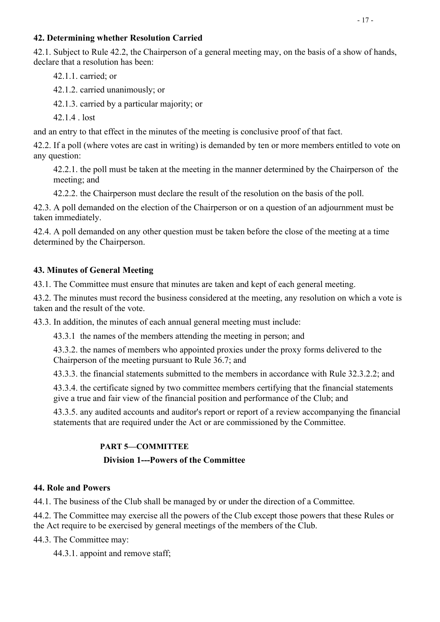#### 42. Determining whether Resolution Carried

42.1. Subject to Rule 42.2, the Chairperson of a general meeting may, on the basis of a show of hands, declare that a resolution has been:

42.1.1. carried; or

42.1.2. carried unanimously; or

42.1.3. carried by a particular majority; or

42.1.4 . lost

and an entry to that effect in the minutes of the meeting is conclusive proof of that fact.

42.2. If a poll (where votes are cast in writing) is demanded by ten or more members entitled to vote on any question:

 42.2.1. the poll must be taken at the meeting in the manner determined by the Chairperson of the meeting; and

42.2.2. the Chairperson must declare the result of the resolution on the basis of the poll.

42.3. A poll demanded on the election of the Chairperson or on a question of an adjournment must be taken immediately.

42.4. A poll demanded on any other question must be taken before the close of the meeting at a time determined by the Chairperson.

## 43. Minutes of General Meeting

43.1. The Committee must ensure that minutes are taken and kept of each general meeting.

43.2. The minutes must record the business considered at the meeting, any resolution on which a vote is taken and the result of the vote.

43.3. In addition, the minutes of each annual general meeting must include:

43.3.1 the names of the members attending the meeting in person; and

43.3.2. the names of members who appointed proxies under the proxy forms delivered to the Chairperson of the meeting pursuant to Rule 36.7; and

43.3.3. the financial statements submitted to the members in accordance with Rule 32.3.2.2; and

43.3.4. the certificate signed by two committee members certifying that the financial statements give a true and fair view of the financial position and performance of the Club; and

43.3.5. any audited accounts and auditor's report or report of a review accompanying the financial statements that are required under the Act or are commissioned by the Committee.

## PART 5—COMMITTEE

## Division 1---Powers of the Committee

## 44. Role and Powers

44.1. The business of the Club shall be managed by or under the direction of a Committee.

44.2. The Committee may exercise all the powers of the Club except those powers that these Rules or the Act require to be exercised by general meetings of the members of the Club.

44.3. The Committee may:

44.3.1. appoint and remove staff;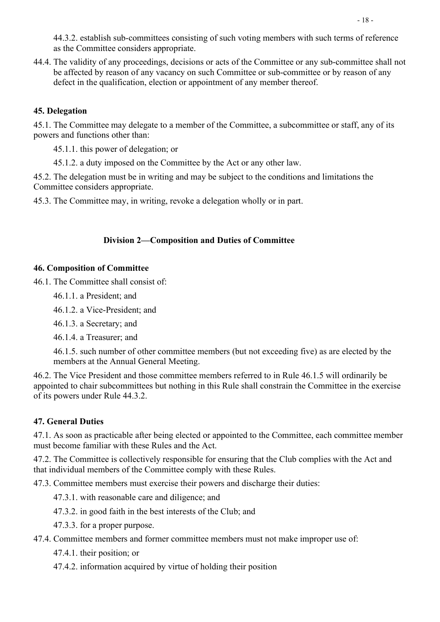44.3.2. establish sub-committees consisting of such voting members with such terms of reference as the Committee considers appropriate.

44.4. The validity of any proceedings, decisions or acts of the Committee or any sub-committee shall not be affected by reason of any vacancy on such Committee or sub-committee or by reason of any defect in the qualification, election or appointment of any member thereof.

## 45. Delegation

45.1. The Committee may delegate to a member of the Committee, a subcommittee or staff, any of its powers and functions other than:

45.1.1. this power of delegation; or

45.1.2. a duty imposed on the Committee by the Act or any other law.

45.2. The delegation must be in writing and may be subject to the conditions and limitations the Committee considers appropriate.

45.3. The Committee may, in writing, revoke a delegation wholly or in part.

#### Division 2—Composition and Duties of Committee

#### 46. Composition of Committee

46.1. The Committee shall consist of:

46.1.1. a President; and

46.1.2. a Vice-President; and

46.1.3. a Secretary; and

46.1.4. a Treasurer; and

46.1.5. such number of other committee members (but not exceeding five) as are elected by the members at the Annual General Meeting.

46.2. The Vice President and those committee members referred to in Rule 46.1.5 will ordinarily be appointed to chair subcommittees but nothing in this Rule shall constrain the Committee in the exercise of its powers under Rule 44.3.2.

#### 47. General Duties

47.1. As soon as practicable after being elected or appointed to the Committee, each committee member must become familiar with these Rules and the Act.

47.2. The Committee is collectively responsible for ensuring that the Club complies with the Act and that individual members of the Committee comply with these Rules.

47.3. Committee members must exercise their powers and discharge their duties:

- 47.3.1. with reasonable care and diligence; and
- 47.3.2. in good faith in the best interests of the Club; and
- 47.3.3. for a proper purpose.

47.4. Committee members and former committee members must not make improper use of:

47.4.1. their position; or

47.4.2. information acquired by virtue of holding their position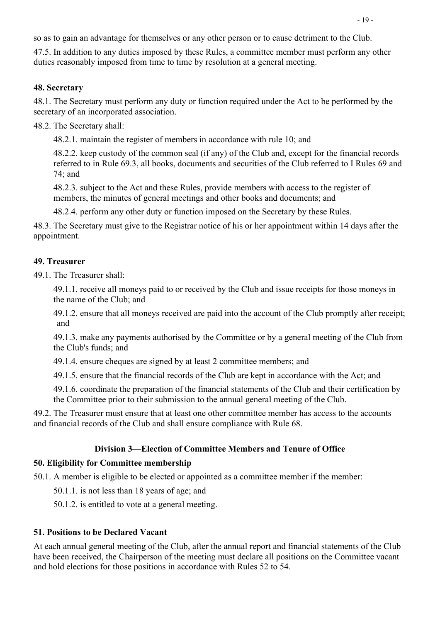so as to gain an advantage for themselves or any other person or to cause detriment to the Club.

47.5. In addition to any duties imposed by these Rules, a committee member must perform any other duties reasonably imposed from time to time by resolution at a general meeting.

#### 48. Secretary

48.1. The Secretary must perform any duty or function required under the Act to be performed by the secretary of an incorporated association.

48.2. The Secretary shall:

48.2.1. maintain the register of members in accordance with rule 10; and

48.2.2. keep custody of the common seal (if any) of the Club and, except for the financial records referred to in Rule 69.3, all books, documents and securities of the Club referred to I Rules 69 and 74; and

48.2.3. subject to the Act and these Rules, provide members with access to the register of members, the minutes of general meetings and other books and documents; and

48.2.4. perform any other duty or function imposed on the Secretary by these Rules.

48.3. The Secretary must give to the Registrar notice of his or her appointment within 14 days after the appointment.

#### 49. Treasurer

49.1. The Treasurer shall:

49.1.1. receive all moneys paid to or received by the Club and issue receipts for those moneys in the name of the Club; and

49.1.2. ensure that all moneys received are paid into the account of the Club promptly after receipt; and

49.1.3. make any payments authorised by the Committee or by a general meeting of the Club from the Club's funds; and

49.1.4. ensure cheques are signed by at least 2 committee members; and

49.1.5. ensure that the financial records of the Club are kept in accordance with the Act; and

49.1.6. coordinate the preparation of the financial statements of the Club and their certification by the Committee prior to their submission to the annual general meeting of the Club.

49.2. The Treasurer must ensure that at least one other committee member has access to the accounts and financial records of the Club and shall ensure compliance with Rule 68.

#### Division 3—Election of Committee Members and Tenure of Office

#### 50. Eligibility for Committee membership

50.1. A member is eligible to be elected or appointed as a committee member if the member:

50.1.1. is not less than 18 years of age; and

50.1.2. is entitled to vote at a general meeting.

#### 51. Positions to be Declared Vacant

At each annual general meeting of the Club, after the annual report and financial statements of the Club have been received, the Chairperson of the meeting must declare all positions on the Committee vacant and hold elections for those positions in accordance with Rules 52 to 54.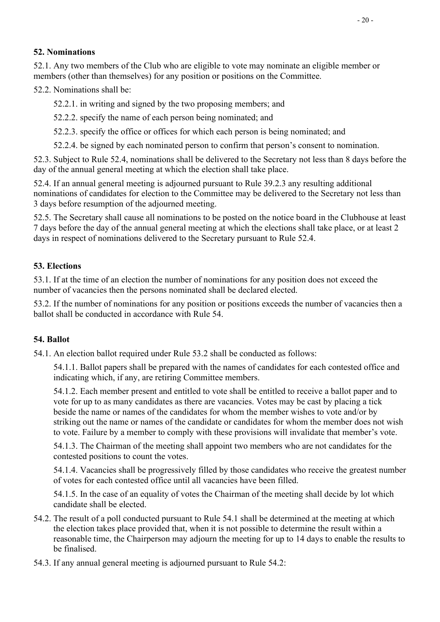## 52. Nominations

52.1. Any two members of the Club who are eligible to vote may nominate an eligible member or members (other than themselves) for any position or positions on the Committee.

52.2. Nominations shall be:

52.2.1. in writing and signed by the two proposing members; and

52.2.2. specify the name of each person being nominated; and

52.2.3. specify the office or offices for which each person is being nominated; and

52.2.4. be signed by each nominated person to confirm that person's consent to nomination.

52.3. Subject to Rule 52.4, nominations shall be delivered to the Secretary not less than 8 days before the day of the annual general meeting at which the election shall take place.

52.4. If an annual general meeting is adjourned pursuant to Rule 39.2.3 any resulting additional nominations of candidates for election to the Committee may be delivered to the Secretary not less than 3 days before resumption of the adjourned meeting.

52.5. The Secretary shall cause all nominations to be posted on the notice board in the Clubhouse at least 7 days before the day of the annual general meeting at which the elections shall take place, or at least 2 days in respect of nominations delivered to the Secretary pursuant to Rule 52.4.

## 53. Elections

53.1. If at the time of an election the number of nominations for any position does not exceed the number of vacancies then the persons nominated shall be declared elected.

 53.2. If the number of nominations for any position or positions exceeds the number of vacancies then a ballot shall be conducted in accordance with Rule 54.

#### 54. Ballot

54.1. An election ballot required under Rule 53.2 shall be conducted as follows:

54.1.1. Ballot papers shall be prepared with the names of candidates for each contested office and indicating which, if any, are retiring Committee members.

54.1.2. Each member present and entitled to vote shall be entitled to receive a ballot paper and to vote for up to as many candidates as there are vacancies. Votes may be cast by placing a tick beside the name or names of the candidates for whom the member wishes to vote and/or by striking out the name or names of the candidate or candidates for whom the member does not wish to vote. Failure by a member to comply with these provisions will invalidate that member's vote.

54.1.3. The Chairman of the meeting shall appoint two members who are not candidates for the contested positions to count the votes.

54.1.4. Vacancies shall be progressively filled by those candidates who receive the greatest number of votes for each contested office until all vacancies have been filled.

54.1.5. In the case of an equality of votes the Chairman of the meeting shall decide by lot which candidate shall be elected.

- 54.2. The result of a poll conducted pursuant to Rule 54.1 shall be determined at the meeting at which the election takes place provided that, when it is not possible to determine the result within a reasonable time, the Chairperson may adjourn the meeting for up to 14 days to enable the results to be finalised.
- 54.3. If any annual general meeting is adjourned pursuant to Rule 54.2: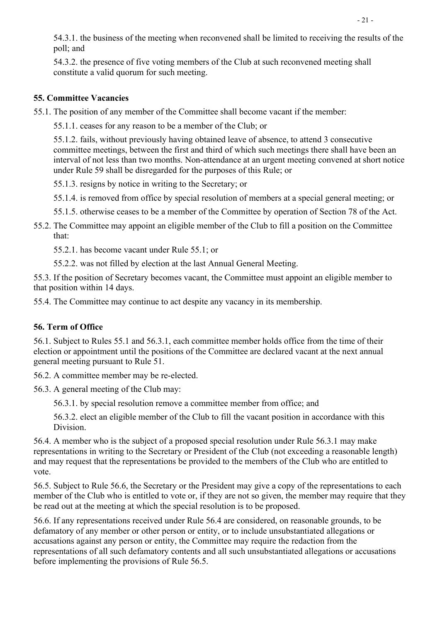54.3.1. the business of the meeting when reconvened shall be limited to receiving the results of the poll; and

54.3.2. the presence of five voting members of the Club at such reconvened meeting shall constitute a valid quorum for such meeting.

## 55. Committee Vacancies

55.1. The position of any member of the Committee shall become vacant if the member:

55.1.1. ceases for any reason to be a member of the Club; or

55.1.2. fails, without previously having obtained leave of absence, to attend 3 consecutive committee meetings, between the first and third of which such meetings there shall have been an interval of not less than two months. Non-attendance at an urgent meeting convened at short notice under Rule 59 shall be disregarded for the purposes of this Rule; or

55.1.3. resigns by notice in writing to the Secretary; or

55.1.4. is removed from office by special resolution of members at a special general meeting; or

55.1.5. otherwise ceases to be a member of the Committee by operation of Section 78 of the Act.

55.2. The Committee may appoint an eligible member of the Club to fill a position on the Committee that:

55.2.1. has become vacant under Rule 55.1; or

55.2.2. was not filled by election at the last Annual General Meeting.

55.3. If the position of Secretary becomes vacant, the Committee must appoint an eligible member to that position within 14 days.

55.4. The Committee may continue to act despite any vacancy in its membership.

## 56. Term of Office

56.1. Subject to Rules 55.1 and 56.3.1, each committee member holds office from the time of their election or appointment until the positions of the Committee are declared vacant at the next annual general meeting pursuant to Rule 51.

56.2. A committee member may be re-elected.

56.3. A general meeting of the Club may:

56.3.1. by special resolution remove a committee member from office; and

 56.3.2. elect an eligible member of the Club to fill the vacant position in accordance with this Division.

56.4. A member who is the subject of a proposed special resolution under Rule 56.3.1 may make representations in writing to the Secretary or President of the Club (not exceeding a reasonable length) and may request that the representations be provided to the members of the Club who are entitled to vote.

56.5. Subject to Rule 56.6, the Secretary or the President may give a copy of the representations to each member of the Club who is entitled to vote or, if they are not so given, the member may require that they be read out at the meeting at which the special resolution is to be proposed.

56.6. If any representations received under Rule 56.4 are considered, on reasonable grounds, to be defamatory of any member or other person or entity, or to include unsubstantiated allegations or accusations against any person or entity, the Committee may require the redaction from the representations of all such defamatory contents and all such unsubstantiated allegations or accusations before implementing the provisions of Rule 56.5.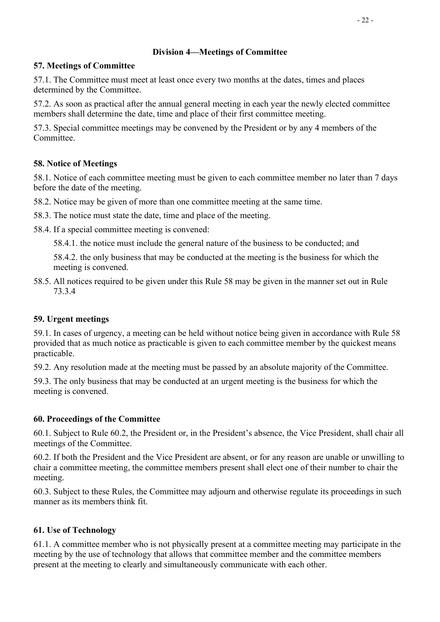## Division 4—Meetings of Committee

## 57. Meetings of Committee

57.1. The Committee must meet at least once every two months at the dates, times and places determined by the Committee.

57.2. As soon as practical after the annual general meeting in each year the newly elected committee members shall determine the date, time and place of their first committee meeting.

57.3. Special committee meetings may be convened by the President or by any 4 members of the Committee.

## 58. Notice of Meetings

58.1. Notice of each committee meeting must be given to each committee member no later than 7 days before the date of the meeting.

58.2. Notice may be given of more than one committee meeting at the same time.

58.3. The notice must state the date, time and place of the meeting.

58.4. If a special committee meeting is convened:

58.4.1. the notice must include the general nature of the business to be conducted; and

58.4.2. the only business that may be conducted at the meeting is the business for which the meeting is convened.

58.5. All notices required to be given under this Rule 58 may be given in the manner set out in Rule 73.3.4

## 59. Urgent meetings

59.1. In cases of urgency, a meeting can be held without notice being given in accordance with Rule 58 provided that as much notice as practicable is given to each committee member by the quickest means practicable.

59.2. Any resolution made at the meeting must be passed by an absolute majority of the Committee.

59.3. The only business that may be conducted at an urgent meeting is the business for which the meeting is convened.

## 60. Proceedings of the Committee

60.1. Subject to Rule 60.2, the President or, in the President's absence, the Vice President, shall chair all meetings of the Committee.

60.2. If both the President and the Vice President are absent, or for any reason are unable or unwilling to chair a committee meeting, the committee members present shall elect one of their number to chair the meeting.

60.3. Subject to these Rules, the Committee may adjourn and otherwise regulate its proceedings in such manner as its members think fit.

## 61. Use of Technology

61.1. A committee member who is not physically present at a committee meeting may participate in the meeting by the use of technology that allows that committee member and the committee members present at the meeting to clearly and simultaneously communicate with each other.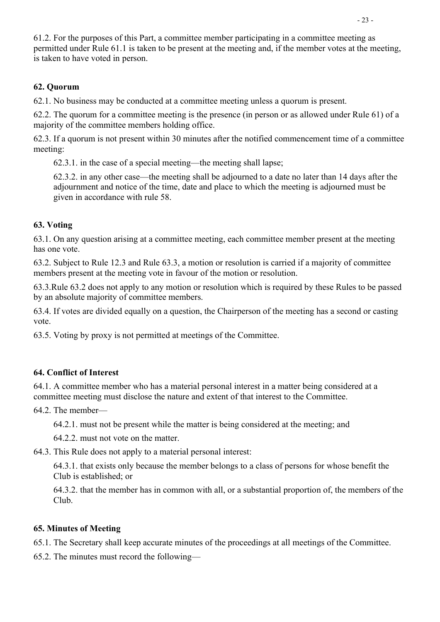61.2. For the purposes of this Part, a committee member participating in a committee meeting as permitted under Rule 61.1 is taken to be present at the meeting and, if the member votes at the meeting, is taken to have voted in person.

## 62. Quorum

62.1. No business may be conducted at a committee meeting unless a quorum is present.

 62.2. The quorum for a committee meeting is the presence (in person or as allowed under Rule 61) of a majority of the committee members holding office.

 62.3. If a quorum is not present within 30 minutes after the notified commencement time of a committee meeting:

62.3.1. in the case of a special meeting—the meeting shall lapse;

62.3.2. in any other case—the meeting shall be adjourned to a date no later than 14 days after the adjournment and notice of the time, date and place to which the meeting is adjourned must be given in accordance with rule 58.

## 63. Voting

63.1. On any question arising at a committee meeting, each committee member present at the meeting has one vote.

 63.2. Subject to Rule 12.3 and Rule 63.3, a motion or resolution is carried if a majority of committee members present at the meeting vote in favour of the motion or resolution.

63.3.Rule 63.2 does not apply to any motion or resolution which is required by these Rules to be passed by an absolute majority of committee members.

63.4. If votes are divided equally on a question, the Chairperson of the meeting has a second or casting vote.

63.5. Voting by proxy is not permitted at meetings of the Committee.

## 64. Conflict of Interest

64.1. A committee member who has a material personal interest in a matter being considered at a committee meeting must disclose the nature and extent of that interest to the Committee.

64.2. The member—

64.2.1. must not be present while the matter is being considered at the meeting; and

64.2.2. must not vote on the matter.

64.3. This Rule does not apply to a material personal interest:

64.3.1. that exists only because the member belongs to a class of persons for whose benefit the Club is established; or

 64.3.2. that the member has in common with all, or a substantial proportion of, the members of the Club.

#### 65. Minutes of Meeting

65.1. The Secretary shall keep accurate minutes of the proceedings at all meetings of the Committee.

65.2. The minutes must record the following—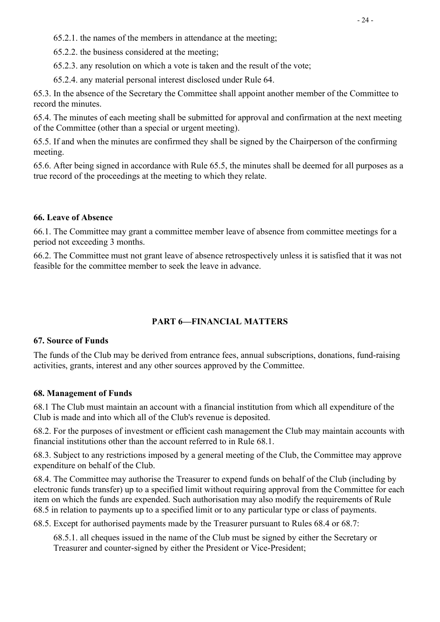65.2.1. the names of the members in attendance at the meeting;

65.2.2. the business considered at the meeting;

65.2.3. any resolution on which a vote is taken and the result of the vote;

65.2.4. any material personal interest disclosed under Rule 64.

65.3. In the absence of the Secretary the Committee shall appoint another member of the Committee to record the minutes.

65.4. The minutes of each meeting shall be submitted for approval and confirmation at the next meeting of the Committee (other than a special or urgent meeting).

65.5. If and when the minutes are confirmed they shall be signed by the Chairperson of the confirming meeting.

65.6. After being signed in accordance with Rule 65.5, the minutes shall be deemed for all purposes as a true record of the proceedings at the meeting to which they relate.

#### 66. Leave of Absence

66.1. The Committee may grant a committee member leave of absence from committee meetings for a period not exceeding 3 months.

66.2. The Committee must not grant leave of absence retrospectively unless it is satisfied that it was not feasible for the committee member to seek the leave in advance.

## PART 6—FINANCIAL MATTERS

#### 67. Source of Funds

The funds of the Club may be derived from entrance fees, annual subscriptions, donations, fund-raising activities, grants, interest and any other sources approved by the Committee.

#### 68. Management of Funds

68.1 The Club must maintain an account with a financial institution from which all expenditure of the Club is made and into which all of the Club's revenue is deposited.

68.2. For the purposes of investment or efficient cash management the Club may maintain accounts with financial institutions other than the account referred to in Rule 68.1.

68.3. Subject to any restrictions imposed by a general meeting of the Club, the Committee may approve expenditure on behalf of the Club.

68.4. The Committee may authorise the Treasurer to expend funds on behalf of the Club (including by electronic funds transfer) up to a specified limit without requiring approval from the Committee for each item on which the funds are expended. Such authorisation may also modify the requirements of Rule 68.5 in relation to payments up to a specified limit or to any particular type or class of payments.

68.5. Except for authorised payments made by the Treasurer pursuant to Rules 68.4 or 68.7:

68.5.1. all cheques issued in the name of the Club must be signed by either the Secretary or Treasurer and counter-signed by either the President or Vice-President;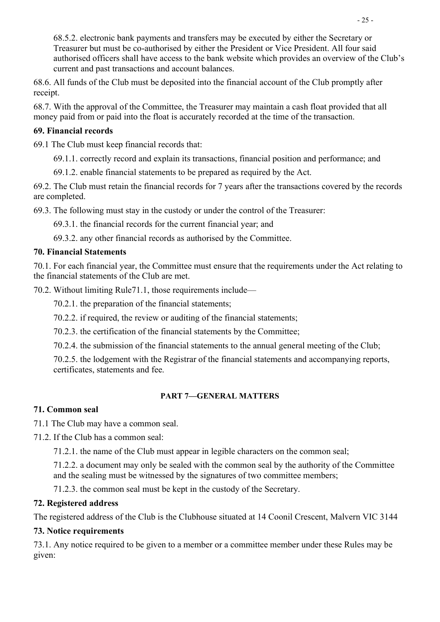68.5.2. electronic bank payments and transfers may be executed by either the Secretary or Treasurer but must be co-authorised by either the President or Vice President. All four said authorised officers shall have access to the bank website which provides an overview of the Club's current and past transactions and account balances.

 68.6. All funds of the Club must be deposited into the financial account of the Club promptly after receipt.

68.7. With the approval of the Committee, the Treasurer may maintain a cash float provided that all money paid from or paid into the float is accurately recorded at the time of the transaction.

#### 69. Financial records

69.1 The Club must keep financial records that:

69.1.1. correctly record and explain its transactions, financial position and performance; and

69.1.2. enable financial statements to be prepared as required by the Act.

69.2. The Club must retain the financial records for 7 years after the transactions covered by the records are completed.

69.3. The following must stay in the custody or under the control of the Treasurer:

69.3.1. the financial records for the current financial year; and

69.3.2. any other financial records as authorised by the Committee.

## 70. Financial Statements

70.1. For each financial year, the Committee must ensure that the requirements under the Act relating to the financial statements of the Club are met.

70.2. Without limiting Rule71.1, those requirements include—

70.2.1. the preparation of the financial statements;

70.2.2. if required, the review or auditing of the financial statements;

70.2.3. the certification of the financial statements by the Committee;

70.2.4. the submission of the financial statements to the annual general meeting of the Club;

 70.2.5. the lodgement with the Registrar of the financial statements and accompanying reports, certificates, statements and fee.

#### PART 7—GENERAL MATTERS

## 71. Common seal

71.1 The Club may have a common seal.

71.2. If the Club has a common seal:

71.2.1. the name of the Club must appear in legible characters on the common seal;

71.2.2. a document may only be sealed with the common seal by the authority of the Committee and the sealing must be witnessed by the signatures of two committee members;

71.2.3. the common seal must be kept in the custody of the Secretary.

## 72. Registered address

The registered address of the Club is the Clubhouse situated at 14 Coonil Crescent, Malvern VIC 3144

## 73. Notice requirements

73.1. Any notice required to be given to a member or a committee member under these Rules may be given: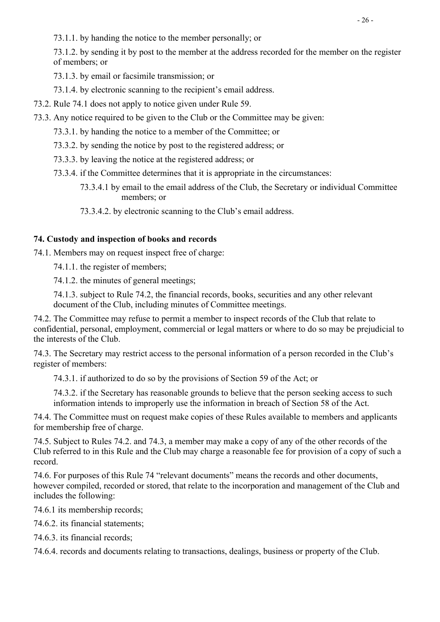73.1.1. by handing the notice to the member personally; or

73.1.2. by sending it by post to the member at the address recorded for the member on the register of members; or

73.1.3. by email or facsimile transmission; or

73.1.4. by electronic scanning to the recipient's email address.

- 73.2. Rule 74.1 does not apply to notice given under Rule 59.
- 73.3. Any notice required to be given to the Club or the Committee may be given:
	- 73.3.1. by handing the notice to a member of the Committee; or
	- 73.3.2. by sending the notice by post to the registered address; or
	- 73.3.3. by leaving the notice at the registered address; or
	- 73.3.4. if the Committee determines that it is appropriate in the circumstances:
		- 73.3.4.1 by email to the email address of the Club, the Secretary or individual Committee members; or

73.3.4.2. by electronic scanning to the Club's email address.

#### 74. Custody and inspection of books and records

74.1. Members may on request inspect free of charge:

74.1.1. the register of members;

74.1.2. the minutes of general meetings;

74.1.3. subject to Rule 74.2, the financial records, books, securities and any other relevant document of the Club, including minutes of Committee meetings.

74.2. The Committee may refuse to permit a member to inspect records of the Club that relate to confidential, personal, employment, commercial or legal matters or where to do so may be prejudicial to the interests of the Club.

74.3. The Secretary may restrict access to the personal information of a person recorded in the Club's register of members:

74.3.1. if authorized to do so by the provisions of Section 59 of the Act; or

74.3.2. if the Secretary has reasonable grounds to believe that the person seeking access to such information intends to improperly use the information in breach of Section 58 of the Act.

74.4. The Committee must on request make copies of these Rules available to members and applicants for membership free of charge.

74.5. Subject to Rules 74.2. and 74.3, a member may make a copy of any of the other records of the Club referred to in this Rule and the Club may charge a reasonable fee for provision of a copy of such a record.

74.6. For purposes of this Rule 74 "relevant documents" means the records and other documents, however compiled, recorded or stored, that relate to the incorporation and management of the Club and includes the following:

74.6.1 its membership records;

74.6.2. its financial statements;

74.6.3. its financial records;

74.6.4. records and documents relating to transactions, dealings, business or property of the Club.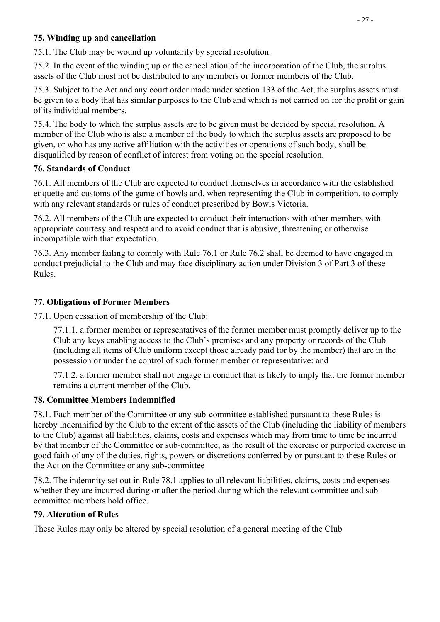## 75. Winding up and cancellation

75.1. The Club may be wound up voluntarily by special resolution.

75.2. In the event of the winding up or the cancellation of the incorporation of the Club, the surplus assets of the Club must not be distributed to any members or former members of the Club.

75.3. Subject to the Act and any court order made under section 133 of the Act, the surplus assets must be given to a body that has similar purposes to the Club and which is not carried on for the profit or gain of its individual members.

75.4. The body to which the surplus assets are to be given must be decided by special resolution. A member of the Club who is also a member of the body to which the surplus assets are proposed to be given, or who has any active affiliation with the activities or operations of such body, shall be disqualified by reason of conflict of interest from voting on the special resolution.

#### 76. Standards of Conduct

76.1. All members of the Club are expected to conduct themselves in accordance with the established etiquette and customs of the game of bowls and, when representing the Club in competition, to comply with any relevant standards or rules of conduct prescribed by Bowls Victoria.

76.2. All members of the Club are expected to conduct their interactions with other members with appropriate courtesy and respect and to avoid conduct that is abusive, threatening or otherwise incompatible with that expectation.

76.3. Any member failing to comply with Rule 76.1 or Rule 76.2 shall be deemed to have engaged in conduct prejudicial to the Club and may face disciplinary action under Division 3 of Part 3 of these Rules.

## 77. Obligations of Former Members

77.1. Upon cessation of membership of the Club:

77.1.1. a former member or representatives of the former member must promptly deliver up to the Club any keys enabling access to the Club's premises and any property or records of the Club (including all items of Club uniform except those already paid for by the member) that are in the possession or under the control of such former member or representative: and

77.1.2. a former member shall not engage in conduct that is likely to imply that the former member remains a current member of the Club.

#### 78. Committee Members Indemnified

78.1. Each member of the Committee or any sub-committee established pursuant to these Rules is hereby indemnified by the Club to the extent of the assets of the Club (including the liability of members to the Club) against all liabilities, claims, costs and expenses which may from time to time be incurred by that member of the Committee or sub-committee, as the result of the exercise or purported exercise in good faith of any of the duties, rights, powers or discretions conferred by or pursuant to these Rules or the Act on the Committee or any sub-committee

78.2. The indemnity set out in Rule 78.1 applies to all relevant liabilities, claims, costs and expenses whether they are incurred during or after the period during which the relevant committee and subcommittee members hold office.

#### 79. Alteration of Rules

These Rules may only be altered by special resolution of a general meeting of the Club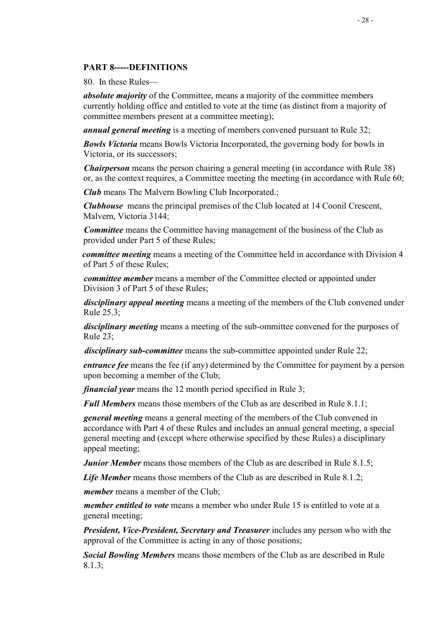#### PART 8-----DEFINITIONS

80. In these Rules—

absolute majority of the Committee, means a majority of the committee members currently holding office and entitled to vote at the time (as distinct from a majority of committee members present at a committee meeting);

**annual general meeting** is a meeting of members convened pursuant to Rule 32;

**Bowls Victoria** means Bowls Victoria Incorporated, the governing body for bowls in Victoria, or its successors;

**Chairperson** means the person chairing a general meeting (in accordance with Rule 38) or, as the context requires, a Committee meeting the meeting (in accordance with Rule 60;

**Club** means The Malvern Bowling Club Incorporated.;

Clubhouse means the principal premises of the Club located at 14 Coonil Crescent, Malvern, Victoria 3144;

**Committee** means the Committee having management of the business of the Club as provided under Part 5 of these Rules;

committee meeting means a meeting of the Committee held in accordance with Division 4 of Part 5 of these Rules;

committee member means a member of the Committee elected or appointed under Division 3 of Part 5 of these Rules;

disciplinary appeal meeting means a meeting of the members of the Club convened under Rule 25.3;

disciplinary meeting means a meeting of the sub-ommittee convened for the purposes of Rule 23;

disciplinary sub-committee means the sub-committee appointed under Rule 22;

entrance fee means the fee (if any) determined by the Committee for payment by a person upon becoming a member of the Club;

financial year means the 12 month period specified in Rule 3;

**Full Members** means those members of the Club as are described in Rule 8.1.1;

general meeting means a general meeting of the members of the Club convened in accordance with Part 4 of these Rules and includes an annual general meeting, a special general meeting and (except where otherwise specified by these Rules) a disciplinary appeal meeting;

*Junior Member* means those members of the Club as are described in Rule 8.1.5;

Life Member means those members of the Club as are described in Rule 8.1.2;

member means a member of the Club;

*member entitled to vote* means a member who under Rule 15 is entitled to vote at a general meeting;

**President, Vice-President, Secretary and Treasurer includes any person who with the** approval of the Committee is acting in any of those positions;

Social Bowling Members means those members of the Club as are described in Rule 8.1.3;